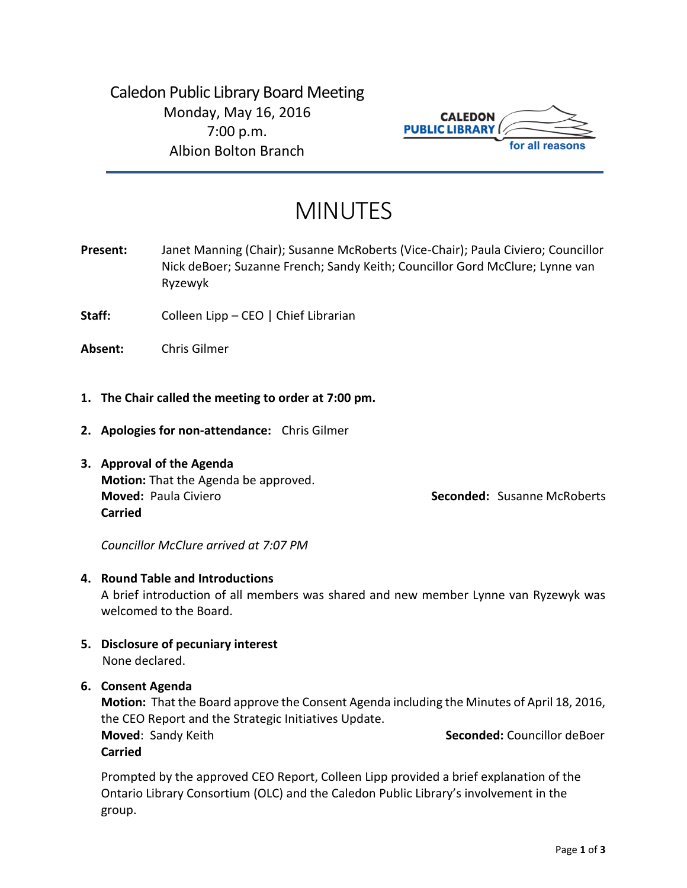Caledon Public Library Board Meeting Monday, May 16, 2016 7:00 p.m. Albion Bolton Branch



# MINUTES

**Present:** Janet Manning (Chair); Susanne McRoberts (Vice-Chair); Paula Civiero; Councillor Nick deBoer; Suzanne French; Sandy Keith; Councillor Gord McClure; Lynne van Ryzewyk

**Staff:** Colleen Lipp – CEO | Chief Librarian

**Absent:** Chris Gilmer

- **1. The Chair called the meeting to order at 7:00 pm.**
- **2. Apologies for non-attendance:** Chris Gilmer
- **3. Approval of the Agenda Motion:** That the Agenda be approved. **Moved:** Paula Civiero **Seconded:** Susanne McRoberts **Carried**

*Councillor McClure arrived at 7:07 PM* 

#### **4. Round Table and Introductions**

A brief introduction of all members was shared and new member Lynne van Ryzewyk was welcomed to the Board.

- **5. Disclosure of pecuniary interest** None declared.
- **6. Consent Agenda**

**Motion:** That the Board approve the Consent Agenda including the Minutes of April 18, 2016, the CEO Report and the Strategic Initiatives Update. **Moved: Sandy Keith <b>Seconded:** Seconded: Councillor deBoer

**Carried**

Prompted by the approved CEO Report, Colleen Lipp provided a brief explanation of the Ontario Library Consortium (OLC) and the Caledon Public Library's involvement in the group.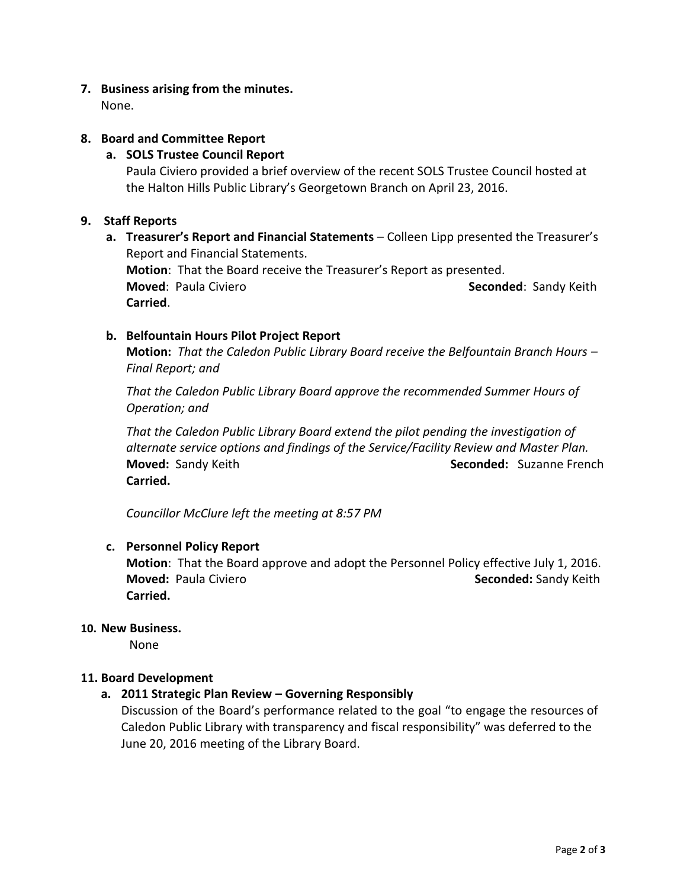## **7. Business arising from the minutes.**

None.

## **8. Board and Committee Report**

## **a. SOLS Trustee Council Report**

Paula Civiero provided a brief overview of the recent SOLS Trustee Council hosted at the Halton Hills Public Library's Georgetown Branch on April 23, 2016.

## **9. Staff Reports**

**a. Treasurer's Report and Financial Statements** – Colleen Lipp presented the Treasurer's Report and Financial Statements. **Motion**: That the Board receive the Treasurer's Report as presented. **Moved: Paula Civiero <b>Seconded**: Paula Civiero **Seconded**: Sandy Keith **Carried**.

## **b. Belfountain Hours Pilot Project Report**

**Motion:** *That the Caledon Public Library Board receive the Belfountain Branch Hours – Final Report; and*

*That the Caledon Public Library Board approve the recommended Summer Hours of Operation; and*

*That the Caledon Public Library Board extend the pilot pending the investigation of alternate service options and findings of the Service/Facility Review and Master Plan.* **Moved:** Sandy Keith **Seconded:** Suzanne French **Carried.**

*Councillor McClure left the meeting at 8:57 PM* 

## **c. Personnel Policy Report**

**Motion**: That the Board approve and adopt the Personnel Policy effective July 1, 2016. **Moved:** Paula Civiero **Seconded:** Sandy Keith **Carried.**

## **10. New Business.**

None

## **11. Board Development**

## **a. 2011 Strategic Plan Review – Governing Responsibly**

Discussion of the Board's performance related to the goal "to engage the resources of Caledon Public Library with transparency and fiscal responsibility" was deferred to the June 20, 2016 meeting of the Library Board.